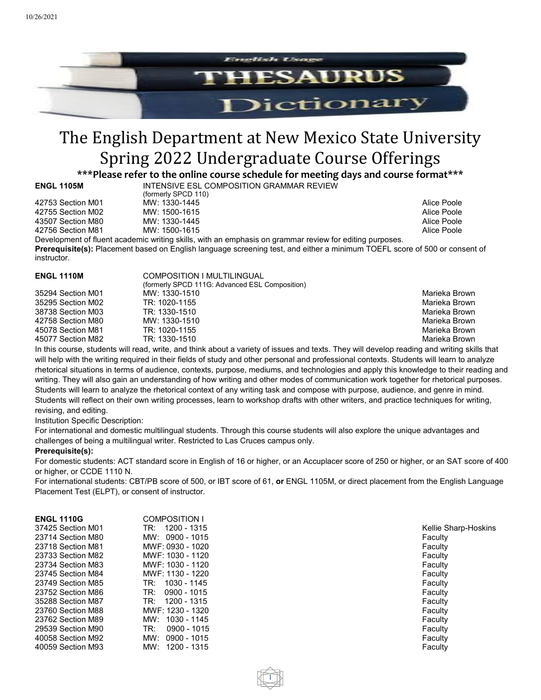

# The English Department at New Mexico State University Spring 2022 Undergraduate Course Offerings

**\*\*\*Please refer to the online course schedule for meeting days and course format\*\*\***

**INTENSIVE ESL COMPOSITION GRAMMAR REVIEW** (formerly SPCD 110) 42753 Section M01 MW: 1330-1445 Alice Poole Account of the MC2 and MC2 and MC 1500-1615 Alice Poole Alice Poole Alice Poole Alice Poole 43507 Section M80 MW: 1330-1445 Alice Poole Alice Poole

Account Machine Manual Manual Machine Music Methods (Alice Poole Alice Poole Alice Poole Alice Poole Alice Poole

Development of fluent academic writing skills, with an emphasis on grammar review for editing purposes. **Prerequisite(s):** Placement based on English language screening test, and either a minimum TOEFL score of 500 or consent of instructor.

| COMPOSITION I MULTILINGUAL |                                                |
|----------------------------|------------------------------------------------|
| MW: 1330-1510              | Marieka Brown                                  |
| TR: 1020-1155              | Marieka Brown                                  |
| TR: 1330-1510              | Marieka Brown                                  |
| MW: 1330-1510              | Marieka Brown                                  |
| TR: 1020-1155              | Marieka Brown                                  |
| TR: 1330-1510              | Marieka Brown                                  |
|                            | (formerly SPCD 111G: Advanced ESL Composition) |

In this course, students will read, write, and think about a variety of issues and texts. They will develop reading and writing skills that will help with the writing required in their fields of study and other personal and professional contexts. Students will learn to analyze rhetorical situations in terms of audience, contexts, purpose, mediums, and technologies and apply this knowledge to their reading and writing. They will also gain an understanding of how writing and other modes of communication work together for rhetorical purposes. Students will learn to analyze the rhetorical context of any writing task and compose with purpose, audience, and genre in mind. Students will reflect on their own writing processes, learn to workshop drafts with other writers, and practice techniques for writing, revising, and editing.

Institution Specific Description:

For international and domestic multilingual students. Through this course students will also explore the unique advantages and challenges of being a multilingual writer. Restricted to Las Cruces campus only.

## **Prerequisite(s):**

For domestic students: ACT standard score in English of 16 or higher, or an Accuplacer score of 250 or higher, or an SAT score of 400 or higher, or CCDE 1110 N.

For international students: CBT/PB score of 500, or IBT score of 61, **or** ENGL 1105M, or direct placement from the English Language Placement Test (ELPT), or consent of instructor.

1

| <b>ENGL 1110G</b> | COMPOSITION I      |          |
|-------------------|--------------------|----------|
| 37425 Section M01 | TR: 1200 - 1315    | Kellie S |
| 23714 Section M80 | $MW: 0900 - 1015$  | Faculty  |
| 23718 Section M81 | MWF: 0930 - 1020   | Faculty  |
| 23733 Section M82 | MWF: 1030 - 1120   | Faculty  |
| 23734 Section M83 | MWF: 1030 - 1120   | Faculty  |
| 23745 Section M84 | MWF: 1130 - 1220   | Faculty  |
| 23749 Section M85 | 1030 - 1145<br>TR: | Faculty  |
| 23752 Section M86 | TR:<br>0900 - 1015 | Faculty  |
| 35288 Section M87 | TR: 1200 - 1315    | Faculty  |
| 23760 Section M88 | MWF: 1230 - 1320   | Faculty  |
| 23762 Section M89 | MW: 1030 - 1145    | Faculty  |
| 29539 Section M90 | TR:<br>0900 - 1015 | Faculty  |
| 40058 Section M92 | MW: 0900 - 1015    | Faculty  |
| 40059 Section M93 | MW: 1200 - 1315    | Faculty  |
|                   |                    |          |

Kellie Sharp-Hoskins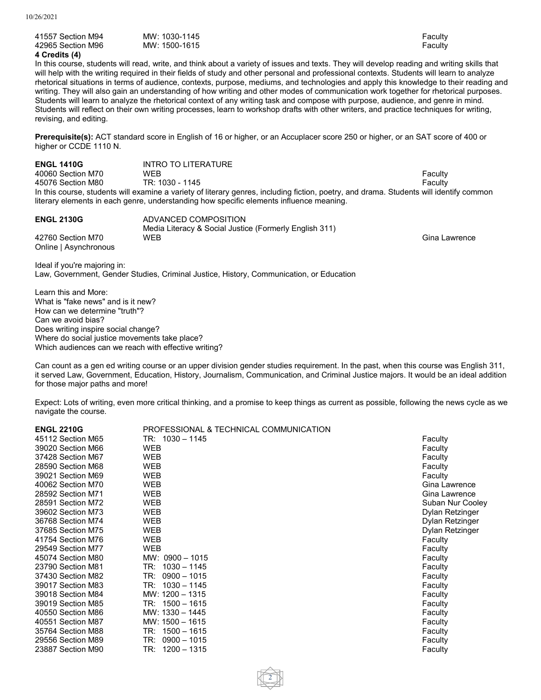| 41557 Section M94 |  |
|-------------------|--|
| 42965 Section M96 |  |
| 4 Credits (4)     |  |

41557 Section M94 MW: 1030-1145 Faculty MW: 1500-1615 **Faculty** 

In this course, students will read, write, and think about a variety of issues and texts. They will develop reading and writing skills that will help with the writing required in their fields of study and other personal and professional contexts. Students will learn to analyze rhetorical situations in terms of audience, contexts, purpose, mediums, and technologies and apply this knowledge to their reading and writing. They will also gain an understanding of how writing and other modes of communication work together for rhetorical purposes. Students will learn to analyze the rhetorical context of any writing task and compose with purpose, audience, and genre in mind. Students will reflect on their own writing processes, learn to workshop drafts with other writers, and practice techniques for writing, revising, and editing.

**Prerequisite(s):** ACT standard score in English of 16 or higher, or an Accuplacer score 250 or higher, or an SAT score of 400 or higher or CCDE 1110 N.

**ENGL 1410G** INTRO TO LITERATURE<br>40060 Section M70 WFB 40060 Section M70 WEB Faculty 45076 Section M80 In this course, students will examine a variety of literary genres, including fiction, poetry, and drama. Students will identify common literary elements in each genre, understanding how specific elements influence meaning.

| <b>ENGL 2130G</b>                          | ADVANCED COMPOSITION<br>Media Literacy & Social Justice (Formerly English 311) |               |
|--------------------------------------------|--------------------------------------------------------------------------------|---------------|
| 42760 Section M70<br>Online   Asynchronous | WEB                                                                            | Gina Lawrence |

Ideal if you're majoring in: Law, Government, Gender Studies, Criminal Justice, History, Communication, or Education

Learn this and More: What is "fake news" and is it new? How can we determine "truth"? Can we avoid bias? Does writing inspire social change? Where do social justice movements take place? Which audiences can we reach with effective writing?

Can count as a gen ed writing course or an upper division gender studies requirement. In the past, when this course was English 311, it served Law, Government, Education, History, Journalism, Communication, and Criminal Justice majors. It would be an ideal addition for those major paths and more!

Expect: Lots of writing, even more critical thinking, and a promise to keep things as current as possible, following the news cycle as we navigate the course.

| <b>ENGL 2210G</b> | PROFESSIONAL & TECHNICAL COMMUNICATION |                  |
|-------------------|----------------------------------------|------------------|
| 45112 Section M65 | TR: 1030 - 1145                        | Faculty          |
| 39020 Section M66 | WEB                                    | Faculty          |
| 37428 Section M67 | WEB                                    | Faculty          |
| 28590 Section M68 | WEB                                    | Faculty          |
| 39021 Section M69 | <b>WEB</b>                             | Faculty          |
| 40062 Section M70 | <b>WEB</b>                             | Gina Lawrence    |
| 28592 Section M71 | <b>WEB</b>                             | Gina Lawrence    |
| 28591 Section M72 | <b>WEB</b>                             | Suban Nur Cooley |
| 39602 Section M73 | <b>WEB</b>                             | Dylan Retzinger  |
| 36768 Section M74 | <b>WEB</b>                             | Dylan Retzinger  |
| 37685 Section M75 | WEB                                    | Dylan Retzinger  |
| 41754 Section M76 | WEB                                    | Faculty          |
| 29549 Section M77 | <b>WEB</b>                             | Faculty          |
| 45074 Section M80 | $MW: 0900 - 1015$                      | Faculty          |
| 23790 Section M81 | $TR: 1030 - 1145$                      | Faculty          |
| 37430 Section M82 | $TR: 0900 - 1015$                      | Faculty          |
| 39017 Section M83 | $TR: 1030 - 1145$                      | Faculty          |
| 39018 Section M84 | $MW: 1200 - 1315$                      | Faculty          |
| 39019 Section M85 | $TR: 1500 - 1615$                      | Faculty          |
| 40550 Section M86 | MW: 1330 - 1445                        | Faculty          |
| 40551 Section M87 | MW: 1500 - 1615                        | Faculty          |
| 35764 Section M88 | $TR: 1500 - 1615$                      | Faculty          |
| 29556 Section M89 | $TR: 0900 - 1015$                      | Faculty          |
| 23887 Section M90 | TR: 1200 - 1315                        | Faculty          |
|                   |                                        |                  |

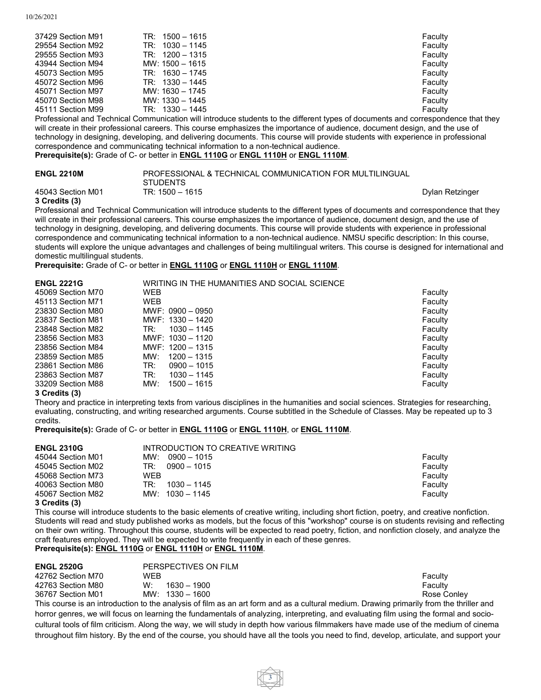| 37429 Section M91 | $TR: 1500 - 1615$ |  | Faculty |   |
|-------------------|-------------------|--|---------|---|
| 29554 Section M92 | $TR: 1030 - 1145$ |  | Faculty |   |
| 29555 Section M93 | $TR: 1200 - 1315$ |  | Faculty |   |
| 43944 Section M94 | MW: 1500 - 1615   |  | Faculty |   |
| 45073 Section M95 | $TR: 1630 - 1745$ |  | Faculty |   |
| 45072 Section M96 | $TR: 1330 - 1445$ |  | Faculty |   |
| 45071 Section M97 | MW: 1630 - 1745   |  | Faculty |   |
| 45070 Section M98 | MW: 1330 - 1445   |  | Faculty |   |
| 45111 Section M99 | $TR: 1330 - 1445$ |  | Faculty |   |
|                   |                   |  |         | . |

Professional and Technical Communication will introduce students to the different types of documents and correspondence that they will create in their professional careers. This course emphasizes the importance of audience, document design, and the use of technology in designing, developing, and delivering documents. This course will provide students with experience in professional correspondence and communicating technical information to a non-technical audience. **Prerequisite(s):** Grade of C- or better in **ENGL [1110G](https://catalogs.nmsu.edu/search/?P=ENGL%201110G)** or **ENGL [1110H](https://catalogs.nmsu.edu/search/?P=ENGL%201110H)** or **ENGL [1110M](https://catalogs.nmsu.edu/search/?P=ENGL%201110M)**.

# **ENGL 2210M** PROFESSIONAL & TECHNICAL COMMUNICATION FOR MULTILINGUAL STUDENTS 45043 Section M01 TR: 1500 – 1615 Dylan Retzinger

# **3 Credits (3)**

Professional and Technical Communication will introduce students to the different types of documents and correspondence that they will create in their professional careers. This course emphasizes the importance of audience, document design, and the use of technology in designing, developing, and delivering documents. This course will provide students with experience in professional correspondence and communicating technical information to a non-technical audience. NMSU specific description: In this course, students will explore the unique advantages and challenges of being multilingual writers. This course is designed for international and domestic multilingual students.

**Prerequisite:** Grade of C- or better in **ENGL [1110G](https://catalogs.nmsu.edu/search/?P=ENGL%201110G)** or **ENGL [1110H](https://catalogs.nmsu.edu/search/?P=ENGL%201110H)** or **ENGL [1110M](https://catalogs.nmsu.edu/search/?P=ENGL%201110M)**.

| <b>ENGL 2221G</b> | WRITING IN THE HUMANITIES AND SOCIAL SCIENCE |         |
|-------------------|----------------------------------------------|---------|
| 45069 Section M70 | <b>WEB</b>                                   | Faculty |
| 45113 Section M71 | <b>WEB</b>                                   | Faculty |
| 23830 Section M80 | $MWF: 0900 - 0950$                           | Faculty |
| 23837 Section M81 | MWF: 1330 - 1420                             | Faculty |
| 23848 Section M82 | $1030 - 1145$<br>TR:                         | Faculty |
| 23856 Section M83 | MWF: 1030 - 1120                             | Faculty |
| 23856 Section M84 | $MWF: 1200 - 1315$                           | Faculty |
| 23859 Section M85 | MW:<br>$1200 - 1315$                         | Faculty |
| 23861 Section M86 | TR:<br>$0900 - 1015$                         | Faculty |
| 23863 Section M87 | TR:<br>$1030 - 1145$                         | Faculty |
| 33209 Section M88 | MW:<br>1500 - 1615                           | Faculty |
| 3 Credits (3)     |                                              |         |

### Theory and practice in interpreting texts from various disciplines in the humanities and social sciences. Strategies for researching, evaluating, constructing, and writing researched arguments. Course subtitled in the Schedule of Classes. May be repeated up to 3 credits.

**Prerequisite(s):** Grade of C- or better in **ENGL [1110G](https://catalogs.nmsu.edu/search/?P=ENGL%201110G)** or **ENGL [1110H](https://catalogs.nmsu.edu/search/?P=ENGL%201110H)**, or **ENGL [1110M](https://catalogs.nmsu.edu/search/?P=ENGL%201110M)**.

| <b>ENGL 2310G</b> | INTRODUCTION TO CREATIVE WRITING |         |
|-------------------|----------------------------------|---------|
| 45044 Section M01 | 0900 – 1015<br>MW:               | Faculty |
| 45045 Section M02 | $0900 - 1015$<br>TR:             | Faculty |
| 45068 Section M73 | WFB                              | Faculty |
| 40063 Section M80 | $1030 - 1145$<br>TR:             | Faculty |
| 45067 Section M82 | MW: $1030 - 1145$                | Faculty |
| $A A \cup B$      |                                  |         |

### **3 Credits (3)**

This course will introduce students to the basic elements of creative writing, including short fiction, poetry, and creative nonfiction. Students will read and study published works as models, but the focus of this "workshop" course is on students revising and reflecting on their own writing. Throughout this course, students will be expected to read poetry, fiction, and nonfiction closely, and analyze the craft features employed. They will be expected to write frequently in each of these genres.

## **Prerequisite(s): ENGL [1110G](https://catalogs.nmsu.edu/search/?P=ENGL%201110G)** or **ENGL [1110H](https://catalogs.nmsu.edu/search/?P=ENGL%201110H)** or **ENGL [1110M](https://catalogs.nmsu.edu/search/?P=ENGL%201110M)**.

| <b>ENGL 2520G</b> | PERSPECTIVES ON FILM |             |
|-------------------|----------------------|-------------|
| 42762 Section M70 | <b>WEB</b>           | Faculty     |
| 42763 Section M80 | 1630 – 1900<br>W.    | Faculty     |
| 36767 Section M01 | MW: $1330 - 1600$    | Rose Conley |
|                   |                      |             |

This course is an introduction to the analysis of film as an art form and as a cultural medium. Drawing primarily from the thriller and horror genres, we will focus on learning the fundamentals of analyzing, interpreting, and evaluating film using the formal and sociocultural tools of film criticism. Along the way, we will study in depth how various filmmakers have made use of the medium of cinema throughout film history. By the end of the course, you should have all the tools you need to find, develop, articulate, and support your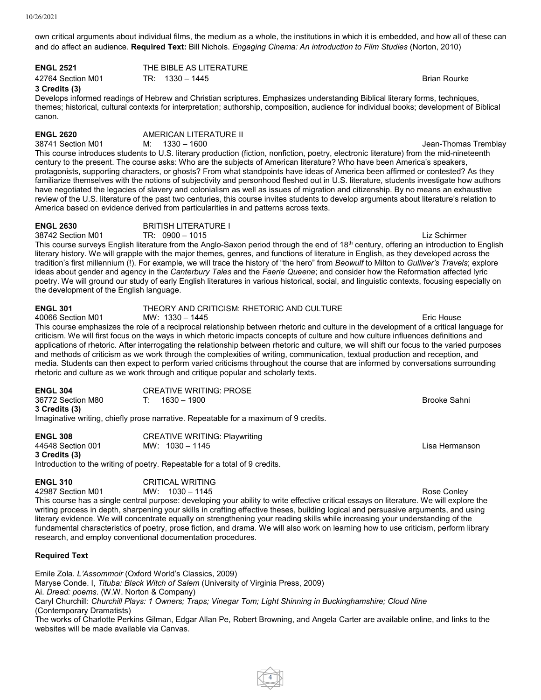10/26/2021

own critical arguments about individual films, the medium as a whole, the institutions in which it is embedded, and how all of these can and do affect an audience. **Required Text:** Bill Nichols. *Engaging Cinema: An introduction to Film Studies* (Norton, 2010)

**ENGL 2521** THE BIBLE AS LITERATURE Account May 12764 Section M01 TR: 1330 - 1445 Channel May 12764 Section M01 Brian Rourke

# **3 Credits (3)**

Develops informed readings of Hebrew and Christian scriptures. Emphasizes understanding Biblical literary forms, techniques, themes; historical, cultural contexts for interpretation; authorship, composition, audience for individual books; development of Biblical canon.

**ENGL 2620 AMERICAN LITERATURE II**<br>38741 Section M01 **M:**  $1330 - 1600$ 

38741 Section M01 M: 1330 – 1600 Jean-Thomas Tremblay This course introduces students to U.S. literary production (fiction, nonfiction, poetry, electronic literature) from the mid-nineteenth century to the present. The course asks: Who are the subjects of American literature? Who have been America's speakers, protagonists, supporting characters, or ghosts? From what standpoints have ideas of America been affirmed or contested? As they familiarize themselves with the notions of subjectivity and personhood fleshed out in U.S. literature, students investigate how authors have negotiated the legacies of slavery and colonialism as well as issues of migration and citizenship. By no means an exhaustive review of the U.S. literature of the past two centuries, this course invites students to develop arguments about literature's relation to America based on evidence derived from particularities in and patterns across texts.

# **ENGL 2630** BRITISH LITERATURE I

38742 Section M01 TR: 0900 – 1015 Liz Schirmer This course surveys English literature from the Anglo-Saxon period through the end of 18<sup>th</sup> century, offering an introduction to English literary history. We will grapple with the major themes, genres, and functions of literature in English, as they developed across the tradition's first millennium (!). For example, we will trace the history of "the hero" from *Beowulf* to Milton to *Gulliver's Travels*; explore ideas about gender and agency in the *Canterbury Tales* and the *Faerie Queene*; and consider how the Reformation affected lyric poetry. We will ground our study of early English literatures in various historical, social, and linguistic contexts, focusing especially on the development of the English language.

# **ENGL 301** THEORY AND CRITICISM: RHETORIC AND CULTURE

40066 Section M01 MW: 1330 – 1445 Eric House This course emphasizes the role of a reciprocal relationship between rhetoric and culture in the development of a critical language for criticism. We will first focus on the ways in which rhetoric impacts concepts of culture and how culture influences definitions and applications of rhetoric. After interrogating the relationship between rhetoric and culture, we will shift our focus to the varied purposes and methods of criticism as we work through the complexities of writing, communication, textual production and reception, and media. Students can then expect to perform varied criticisms throughout the course that are informed by conversations surrounding rhetoric and culture as we work through and critique popular and scholarly texts.

| <b>ENGL 304</b>   | CREATIVE WRITING: PROSE                                                              |                |
|-------------------|--------------------------------------------------------------------------------------|----------------|
| 36772 Section M80 | 1630 – 1900                                                                          | - Brooke Sahni |
| 3 Credits (3)     |                                                                                      |                |
|                   | Imaginative writing, chiefly prose narrative. Repeatable for a maximum of 9 credits. |                |

**ENGL 308** CREATIVE WRITING: Playwriting 44548 Section 001 MW: 1030 – 1145 Lisa Hermanson **3 Credits (3)** Introduction to the writing of poetry. Repeatable for a total of 9 credits.

| <b>ENGL 310</b>   | <b>CRITICAL WRITING</b> |
|-------------------|-------------------------|
| 42987 Section M01 | $MW: 1030 - 1145$       |

42987 Section M01 MW: 1030 – 1145 Rose Conley This course has a single central purpose: developing your ability to write effective critical essays on literature. We will explore the writing process in depth, sharpening your skills in crafting effective theses, building logical and persuasive arguments, and using literary evidence. We will concentrate equally on strengthening your reading skills while increasing your understanding of the fundamental characteristics of poetry, prose fiction, and drama. We will also work on learning how to use criticism, perform library research, and employ conventional documentation procedures.

# **Required Text**

Emile Zola. *L'Assommoir* (Oxford World's Classics, 2009)

Maryse Conde. I, *Tituba: Black Witch of Salem* (University of Virginia Press, 2009)

Ai. *Dread: poems*. (W.W. Norton & Company)

Caryl Churchill: *Churchill Plays: 1 Owners; Traps; Vinegar Tom; Light Shinning in Buckinghamshire; Cloud Nine* (Contemporary Dramatists)

The works of Charlotte Perkins Gilman, Edgar Allan Pe, Robert Browning, and Angela Carter are available online, and links to the websites will be made available via Canvas.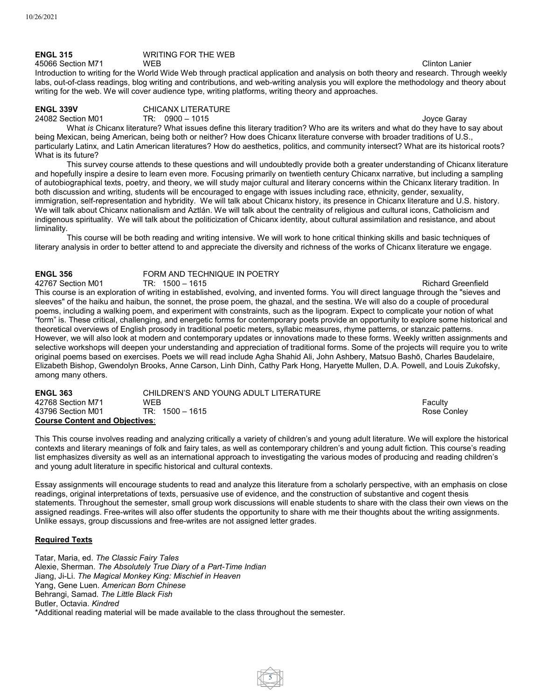## **ENGL 315** WRITING FOR THE WEB A 45066 Section M71 WEB WEB 2008 2012 12:00 12:00 NM 2012 12:00 12:00 2012 12:00 2013 12:00 2013 12:00 2013 12:00 2013 12:00 2013 12:00 2013 12:00 2013 12:00 2013 12:00 2013 12:00 2013 12:00 2013 12:00 2013 12:00 2013 12:0

Introduction to writing for the World Wide Web through practical application and analysis on both theory and research. Through weekly labs, out-of-class readings, blog writing and contributions, and web-writing analysis you will explore the methodology and theory about writing for the web. We will cover audience type, writing platforms, writing theory and approaches.

**ENGL 339V** CHICANX LITERATURE

24082 Section M01 TR: 0900 – 1015 Joyce Garay

What *is* Chicanx literature? What issues define this literary tradition? Who are its writers and what do they have to say about being Mexican, being American, being both or neither? How does Chicanx literature converse with broader traditions of U.S., particularly Latinx, and Latin American literatures? How do aesthetics, politics, and community intersect? What are its historical roots? What is its future?

This survey course attends to these questions and will undoubtedly provide both a greater understanding of Chicanx literature and hopefully inspire a desire to learn even more. Focusing primarily on twentieth century Chicanx narrative, but including a sampling of autobiographical texts, poetry, and theory, we will study major cultural and literary concerns within the Chicanx literary tradition. In both discussion and writing, students will be encouraged to engage with issues including race, ethnicity, gender, sexuality, immigration, self-representation and hybridity. We will talk about Chicanx history, its presence in Chicanx literature and U.S. history. We will talk about Chicanx nationalism and Aztlán. We will talk about the centrality of religious and cultural icons, Catholicism and indigenous spirituality. We will talk about the politicization of Chicanx identity, about cultural assimilation and resistance, and about liminality.

This course will be both reading and writing intensive. We will work to hone critical thinking skills and basic techniques of literary analysis in order to better attend to and appreciate the diversity and richness of the works of Chicanx literature we engage.

**ENGL 356** FORM AND TECHNIQUE IN POETRY<br>42767 Section M01 TR: 1500 - 1615 42767 Section M01 TR: 1500 – 1615 Richard Greenfield This course is an exploration of writing in established, evolving, and invented forms. You will direct language through the "sieves and sleeves" of the haiku and haibun, the sonnet, the prose poem, the ghazal, and the sestina. We will also do a couple of procedural poems, including a walking poem, and experiment with constraints, such as the lipogram. Expect to complicate your notion of what "form" is. These critical, challenging, and energetic forms for contemporary poets provide an opportunity to explore some historical and theoretical overviews of English prosody in traditional poetic meters, syllabic measures, rhyme patterns, or stanzaic patterns. However, we will also look at modern and contemporary updates or innovations made to these forms. Weekly written assignments and selective workshops will deepen your understanding and appreciation of traditional forms. Some of the projects will require you to write original poems based on exercises. Poets we will read include Agha Shahid Ali, John Ashbery, Matsuo Bashō, Charles Baudelaire, Elizabeth Bishop, Gwendolyn Brooks, Anne Carson, Linh Dinh, Cathy Park Hong, Haryette Mullen, D.A. Powell, and Louis Zukofsky, among many others.

| <b>ENGL 363</b>                       | CHILDREN'S AND YOUNG ADULT LITERATURE |             |
|---------------------------------------|---------------------------------------|-------------|
| 42768 Section M71                     | <b>WFB</b>                            | Faculty     |
| 43796 Section M01                     | TR: 1500 – 1615                       | Rose Conley |
| <b>Course Content and Objectives:</b> |                                       |             |

This This course involves reading and analyzing critically a variety of children's and young adult literature. We will explore the historical contexts and literary meanings of folk and fairy tales, as well as contemporary children's and young adult fiction. This course's reading list emphasizes diversity as well as an international approach to investigating the various modes of producing and reading children's and young adult literature in specific historical and cultural contexts.

Essay assignments will encourage students to read and analyze this literature from a scholarly perspective, with an emphasis on close readings, original interpretations of texts, persuasive use of evidence, and the construction of substantive and cogent thesis statements. Throughout the semester, small group work discussions will enable students to share with the class their own views on the assigned readings. Free-writes will also offer students the opportunity to share with me their thoughts about the writing assignments. Unlike essays, group discussions and free-writes are not assigned letter grades.

5

# **Required Texts**

Tatar, Maria, ed. *The Classic Fairy Tales* Alexie, Sherman. *The Absolutely True Diary of a Part-Time Indian* Jiang, Ji-Li. *The Magical Monkey King: Mischief in Heaven* Yang, Gene Luen. *American Born Chinese* Behrangi, Samad. *The Little Black Fish*  Butler, Octavia. *Kindred* \*Additional reading material will be made available to the class throughout the semester.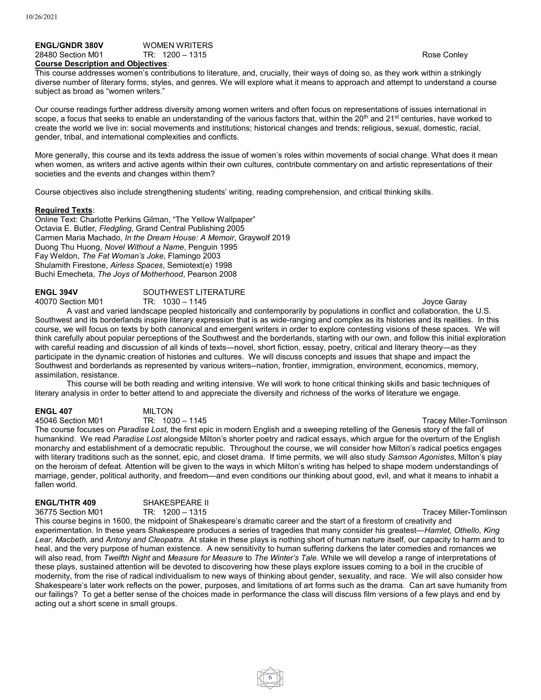### **ENGL/GNDR 380V** WOMEN WRITERS<br>28480 Section M01 TR: 1200 - 1315 28480 Section M01 **TR: 1200 – 1315** Rose Conley Rose Conley **Course Description and Objectives**:

This course addresses women's contributions to literature, and, crucially, their ways of doing so, as they work within a strikingly diverse number of literary forms, styles, and genres. We will explore what it means to approach and attempt to understand a course subject as broad as "women writers."

Our course readings further address diversity among women writers and often focus on representations of issues international in scope, a focus that seeks to enable an understanding of the various factors that, within the 20<sup>th</sup> and 21<sup>st</sup> centuries, have worked to create the world we live in: social movements and institutions; historical changes and trends; religious, sexual, domestic, racial, gender, tribal, and international complexities and conflicts.

More generally, this course and its texts address the issue of women's roles within movements of social change. What does it mean when women, as writers and active agents within their own cultures, contribute commentary on and artistic representations of their societies and the events and changes within them?

Course objectives also include strengthening students' writing, reading comprehension, and critical thinking skills.

### **Required Texts**:

Online Text: Charlotte Perkins Gilman, "The Yellow Wallpaper" Octavia E. Butler, *Fledgling*, Grand Central Publishing 2005 Carmen Maria Machado, *In the Dream House: A Memoir*, Graywolf 2019 Duong Thu Huong, *Novel Without a Name*, Penguin 1995 Fay Weldon, *The Fat Woman's Joke*, Flamingo 2003 Shulamith Firestone, *Airless Spaces*, Semiotext(e) 1998 Buchi Emecheta, *The Joys of Motherhood*, Pearson 2008

# **ENGL 394V** SOUTHWEST LITERATURE<br>40070 Section M01 TR: 1030 - 1145

40070 Section M01 TR: 1030 – 1145 Joyce Garay

A vast and varied landscape peopled historically and contemporarily by populations in conflict and collaboration, the U.S. Southwest and its borderlands inspire literary expression that is as wide-ranging and complex as its histories and its realities. In this course, we will focus on texts by both canonical and emergent writers in order to explore contesting visions of these spaces. We will think carefully about popular perceptions of the Southwest and the borderlands, starting with our own, and follow this initial exploration with careful reading and discussion of all kinds of texts—novel, short fiction, essay, poetry, critical and literary theory—as they participate in the dynamic creation of histories and cultures. We will discuss concepts and issues that shape and impact the Southwest and borderlands as represented by various writers--nation, frontier, immigration, environment, economics, memory, assimilation, resistance.

This course will be both reading and writing intensive. We will work to hone critical thinking skills and basic techniques of literary analysis in order to better attend to and appreciate the diversity and richness of the works of literature we engage.

**ENGL 407** MILTON<br>45046 Section M01 TR: 1030 – 1145

Tracey Miller-Tomlinson The course focuses on *Paradise Lost,* the first epic in modern English and a sweeping retelling of the Genesis story of the fall of humankind. We read *Paradise Lost* alongside Milton's shorter poetry and radical essays, which argue for the overturn of the English monarchy and establishment of a democratic republic. Throughout the course, we will consider how Milton's radical poetics engages with literary traditions such as the sonnet, epic, and closet drama. If time permits, we will also study *Samson Agonistes*, Milton's play on the heroism of defeat. Attention will be given to the ways in which Milton's writing has helped to shape modern understandings of marriage, gender, political authority, and freedom—and even conditions our thinking about good, evil, and what it means to inhabit a fallen world.

**ENGL/THTR 409** SHAKESPEARE II<br>36775 Section M01 TR: 1200 - 1315

Tracey Miller-Tomlinson This course begins in 1600, the midpoint of Shakespeare's dramatic career and the start of a firestorm of creativity and experimentation. In these years Shakespeare produces a series of tragedies that many consider his greatest—*Hamlet, Othello, King Lear, Macbeth,* and *Antony and Cleopatra*. At stake in these plays is nothing short of human nature itself, our capacity to harm and to heal, and the very purpose of human existence. A new sensitivity to human suffering darkens the later comedies and romances we will also read, from *Twelfth Night* and *Measure for Measure* to *The Winter's Tale*. While we will develop a range of interpretations of these plays, sustained attention will be devoted to discovering how these plays explore issues coming to a boil in the crucible of modernity, from the rise of radical individualism to new ways of thinking about gender, sexuality, and race. We will also consider how Shakespeare's later work reflects on the power, purposes, and limitations of art forms such as the drama. Can art save humanity from our failings? To get a better sense of the choices made in performance the class will discuss film versions of a few plays and end by acting out a short scene in small groups.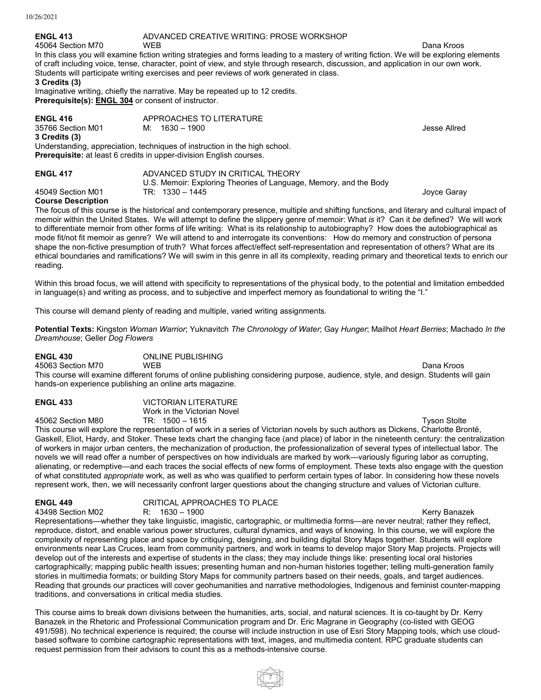# **ENGL 413** ADVANCED CREATIVE WRITING: PROSE WORKSHOP<br>45064 Section M70 WEB

45064 Section M70 WEB Dana Kroos In this class you will examine fiction writing strategies and forms leading to a mastery of writing fiction. We will be exploring elements of craft including voice, tense, character, point of view, and style through research, discussion, and application in our own work. Students will participate writing exercises and peer reviews of work generated in class.

# **3 Credits (3)**

Imaginative writing, chiefly the narrative. May be repeated up to 12 credits. **Prerequisite(s): [ENGL](https://catalogs.nmsu.edu/search/?P=ENGL%20304) 304** or consent of instructor.

| <b>ENGL 416</b><br>35766 Section M01<br>3 Credits (3)                                                                                                    | APPROACHES TO LITERATURE<br>M: 1630 – 1900 | Jesse Allred |  |  |
|----------------------------------------------------------------------------------------------------------------------------------------------------------|--------------------------------------------|--------------|--|--|
| Understanding, appreciation, techniques of instruction in the high school.<br><b>Prerequisite:</b> at least 6 credits in upper-division English courses. |                                            |              |  |  |

| <b>ENGL 417</b>   | ADVANCED STUDY IN CRITICAL THEORY                                 |             |
|-------------------|-------------------------------------------------------------------|-------------|
|                   | U.S. Memoir: Exploring Theories of Language, Memory, and the Body |             |
| 45049 Section M01 | TR: 1330 – 1445                                                   | Joyce Garay |

## **Course Description**

The focus of this course is the historical and contemporary presence, multiple and shifting functions, and literary and cultural impact of memoir within the United States. We will attempt to define the slippery genre of memoir: What *is* it? Can it *be* defined? We will work to differentiate memoir from other forms of life writing: What is its relationship to autobiography? How does the autobiographical as mode fit/not fit memoir as genre? We will attend to and interrogate its conventions: How do memory and construction of persona shape the non-fictive presumption of truth? What forces affect/effect self-representation and representation of others? What are its ethical boundaries and ramifications? We will swim in this genre in all its complexity, reading primary and theoretical texts to enrich our reading.

Within this broad focus, we will attend with specificity to representations of the physical body, to the potential and limitation embedded in language(s) and writing as process, and to subjective and imperfect memory as foundational to writing the "I."

This course will demand plenty of reading and multiple, varied writing assignments.

**Potential Texts:** Kingston *Woman Warrior*; Yuknavitch *The Chronology of Water*; Gay *Hunger*; Mailhot *Heart Berries*; Machado *In the Dreamhouse*; Geller *Dog Flowers*

**ENGL 430** ONLINE PUBLISHING

45063 Section M70 WEB Dana Kroos This course will examine different forums of online publishing considering purpose, audience, style, and design. Students will gain hands-on experience publishing an online arts magazine.

| <b>ENGL 433</b>   | VICTORIAN LITERATURE        |                     |
|-------------------|-----------------------------|---------------------|
|                   | Work in the Victorian Novel |                     |
| 45062 Section M80 | TR: 1500 – 1615             | <b>Tyson Stolte</b> |

This course will explore the representation of work in a series of Victorian novels by such authors as Dickens, Charlotte Brontë, Gaskell, Eliot, Hardy, and Stoker. These texts chart the changing face (and place) of labor in the nineteenth century: the centralization of workers in major urban centers, the mechanization of production, the professionalization of several types of intellectual labor. The novels we will read offer a number of perspectives on how individuals are marked by work—variously figuring labor as corrupting, alienating, or redemptive—and each traces the social effects of new forms of employment. These texts also engage with the question of what constituted *appropriate* work, as well as who was qualified to perform certain types of labor. In considering how these novels represent work, then, we will necessarily confront larger questions about the changing structure and values of Victorian culture.

**ENGL 449 CRITICAL APPROACHES TO PLACE**<br>43498 Section M02 R: 1630 – 1900

43498 Section M02 R: 1630 – 1900 Kerry Banazek Representations—whether they take linguistic, imagistic, cartographic, or multimedia forms—are never neutral; rather they reflect, reproduce, distort, and enable various power structures, cultural dynamics, and ways of knowing. In this course, we will explore the complexity of representing place and space by critiquing, designing, and building digital Story Maps together. Students will explore environments near Las Cruces, learn from community partners, and work in teams to develop major Story Map projects. Projects will develop out of the interests and expertise of students in the class; they may include things like: presenting local oral histories cartographically; mapping public health issues; presenting human and non-human histories together; telling multi-generation family stories in multimedia formats; or building Story Maps for community partners based on their needs, goals, and target audiences. Reading that grounds our practices will cover geohumanities and narrative methodologies, Indigenous and feminist counter-mapping traditions, and conversations in critical media studies.

This course aims to break down divisions between the humanities, arts, social, and natural sciences. It is co-taught by Dr. Kerry Banazek in the Rhetoric and Professional Communication program and Dr. Eric Magrane in Geography (co-listed with GEOG 491/598). No technical experience is required; the course will include instruction in use of Esri Story Mapping tools, which use cloudbased software to combine cartographic representations with text, images, and multimedia content. RPC graduate students can request permission from their advisors to count this as a methods-intensive course.